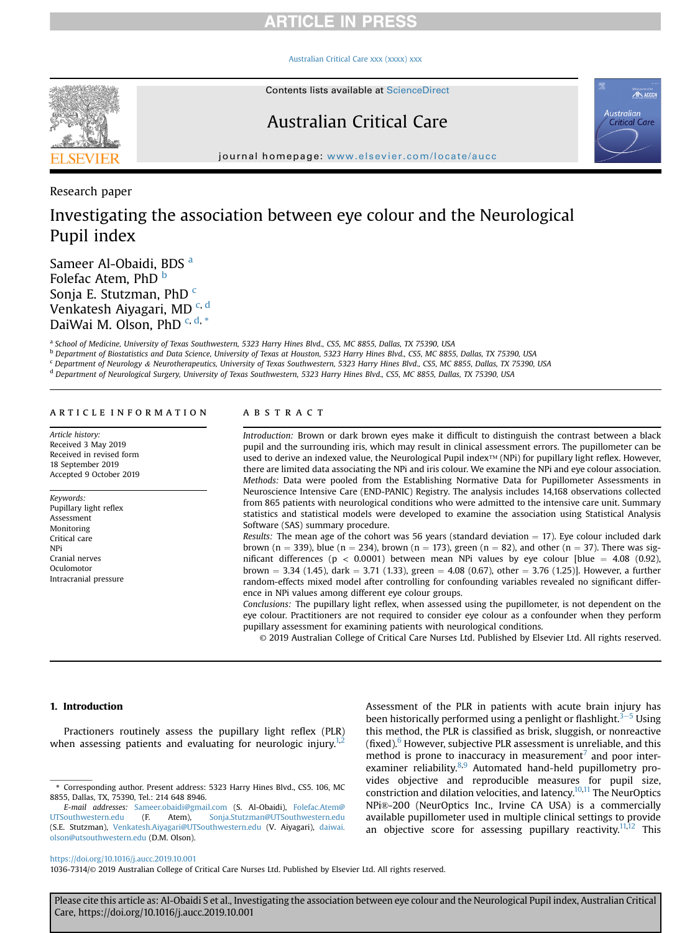### [Australian Critical Care xxx \(xxxx\) xxx](https://doi.org/10.1016/j.aucc.2019.10.001)



Contents lists available at ScienceDirect

# Australian Critical Care



 $AN$  ACCCI

journal homepage: <www.elsevier.com/locate/aucc>

Research paper

# Investigating the association between eye colour and the Neurological Pupil index

Sameer Al-Obaidi, BDS <sup>a</sup> Folefac Atem, PhD  $\overline{b}$ Sonja E. Stutzman, PhD<sup>c</sup> Venkatesh Aiyagari, MD c, d DaiWai M. Olson, PhD<sup>c, d,\*</sup>

a School of Medicine, University of Texas Southwestern, 5323 Harry Hines Blvd., CS5, MC 8855, Dallas, TX 75390, USA

<sup>b</sup> Department of Biostatistics and Data Science, University of Texas at Houston, 5323 Harry Hines Blvd., CS5, MC 8855, Dallas, TX 75390, USA

<sup>c</sup> Department of Neurology & Neurotherapeutics, University of Texas Southwestern, 5323 Harry Hines Blvd., CS5, MC 8855, Dallas, TX 75390, USA

<sup>d</sup> Department of Neurological Surgery, University of Texas Southwestern, 5323 Harry Hines Blvd., CS5, MC 8855, Dallas, TX 75390, USA

#### article information

Article history: Received 3 May 2019 Received in revised form 18 September 2019 Accepted 9 October 2019

Keywords: Pupillary light reflex Assessment Monitoring Critical care NPi Cranial nerves Oculomotor Intracranial pressure

### **ABSTRACT**

Introduction: Brown or dark brown eyes make it difficult to distinguish the contrast between a black pupil and the surrounding iris, which may result in clinical assessment errors. The pupillometer can be used to derive an indexed value, the Neurological Pupil index™ (NPi) for pupillary light reflex. However, there are limited data associating the NPi and iris colour. We examine the NPi and eye colour association. Methods: Data were pooled from the Establishing Normative Data for Pupillometer Assessments in Neuroscience Intensive Care (END-PANIC) Registry. The analysis includes 14,168 observations collected from 865 patients with neurological conditions who were admitted to the intensive care unit. Summary statistics and statistical models were developed to examine the association using Statistical Analysis Software (SAS) summary procedure.

Results: The mean age of the cohort was 56 years (standard deviation  $= 17$ ). Eye colour included dark brown (n = 339), blue (n = 234), brown (n = 173), green (n = 82), and other (n = 37). There was significant differences ( $p < 0.0001$ ) between mean NPi values by eye colour [blue = 4.08 (0.92), brown = 3.34 (1.45), dark = 3.71 (1.33), green = 4.08 (0.67), other = 3.76 (1.25)]. However, a further random-effects mixed model after controlling for confounding variables revealed no significant difference in NPi values among different eye colour groups.

Conclusions: The pupillary light reflex, when assessed using the pupillometer, is not dependent on the eye colour. Practitioners are not required to consider eye colour as a confounder when they perform pupillary assessment for examining patients with neurological conditions.

© 2019 Australian College of Critical Care Nurses Ltd. Published by Elsevier Ltd. All rights reserved.

## 1. Introduction

Practioners routinely assess the pupillary light reflex (PLR) when assessing patients and evaluating for neurologic injury. $1,2$ 

Assessment of the PLR in patients with acute brain injury has been historically performed using a penlight or flashlight.<sup>[3](#page-3-0)–[5](#page-3-0)</sup> Using this method, the PLR is classified as brisk, sluggish, or nonreactive  $(fixed)$ .<sup>[6](#page-3-0)</sup> However, subjective PLR assessment is unreliable, and this method is prone to inaccuracy in measurement<sup>7</sup> and poor inter-examiner reliability.<sup>[8,9](#page-3-0)</sup> Automated hand-held pupillometry provides objective and reproducible measures for pupil size, constriction and dilation velocities, and latency.<sup>10,[11](#page-3-0)</sup> The NeurOptics NPi®-200 (NeurOptics Inc., Irvine CA USA) is a commercially available pupillometer used in multiple clinical settings to provide an objective score for assessing pupillary reactivity.<sup>[11,12](#page-3-0)</sup> This

## <https://doi.org/10.1016/j.aucc.2019.10.001>

1036-7314/© 2019 Australian College of Critical Care Nurses Ltd. Published by Elsevier Ltd. All rights reserved.

<sup>\*</sup> Corresponding author. Present address: 5323 Harry Hines Blvd., CS5. 106, MC 8855, Dallas, TX, 75390, Tel.: 214 648 8946.

E-mail addresses: [Sameer.obaidi@gmail.com](mailto:Sameer.obaidi@gmail.com) (S. Al-Obaidi), [Folefac.Atem@](mailto:Folefac.Atem@UTSouthwestern.edu) [UTSouthwestern.edu](mailto:Folefac.Atem@UTSouthwestern.edu) (F. Atem), [Sonja.Stutzman@UTSouthwestern.edu](mailto:Sonja.Stutzman@UTSouthwestern.edu) (S.E. Stutzman), [Venkatesh.Aiyagari@UTSouthwestern.edu](mailto:Venkatesh.Aiyagari@UTSouthwestern.edu) (V. Aiyagari), [daiwai.](mailto:daiwai.olson@utsouthwestern.edu) [olson@utsouthwestern.edu](mailto:daiwai.olson@utsouthwestern.edu) (D.M. Olson).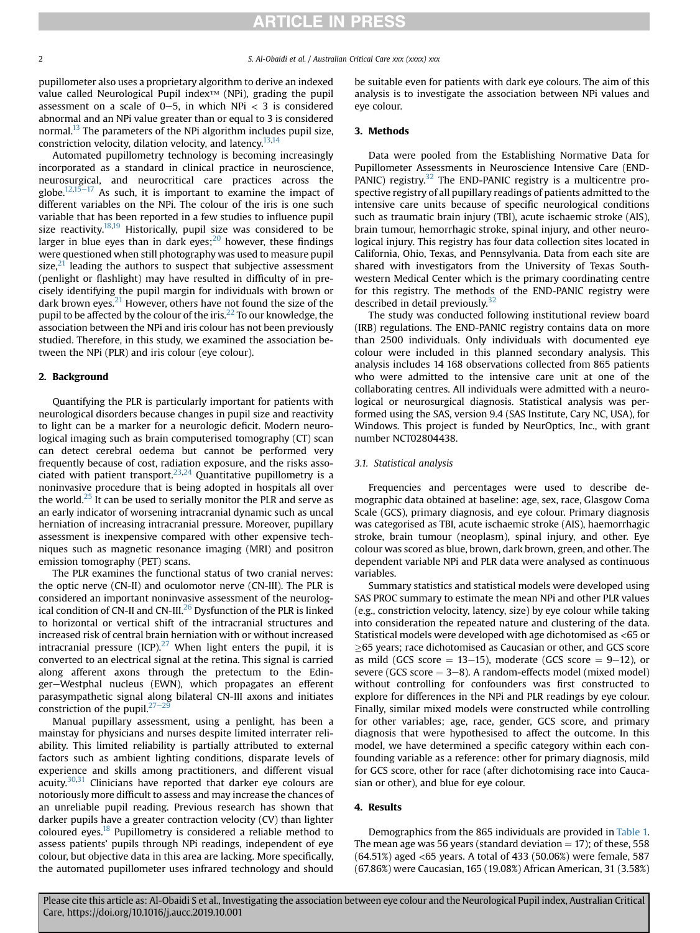pupillometer also uses a proprietary algorithm to derive an indexed value called Neurological Pupil index™ (NPi), grading the pupil assessment on a scale of  $0-5$ , in which NPi < 3 is considered abnormal and an NPi value greater than or equal to 3 is considered normal.<sup>[13](#page-3-0)</sup> The parameters of the NPi algorithm includes pupil size, constriction velocity, dilation velocity, and latency.<sup>13,14</sup>

Automated pupillometry technology is becoming increasingly incorporated as a standard in clinical practice in neuroscience, neurosurgical, and neurocritical care practices across the globe. $12,15-17$  $12,15-17$  As such, it is important to examine the impact of different variables on the NPi. The colour of the iris is one such variable that has been reported in a few studies to influence pupil size reactivity.<sup>[18,19](#page-3-0)</sup> Historically, pupil size was considered to be larger in blue eyes than in dark eyes; $^{20}$  $^{20}$  $^{20}$  however, these findings were questioned when still photography was used to measure pupil size, $21$  leading the authors to suspect that subjective assessment (penlight or flashlight) may have resulted in difficulty of in precisely identifying the pupil margin for individuals with brown or dark brown eyes. $21$  However, others have not found the size of the pupil to be affected by the colour of the iris.<sup>[22](#page-4-0)</sup> To our knowledge, the association between the NPi and iris colour has not been previously studied. Therefore, in this study, we examined the association between the NPi (PLR) and iris colour (eye colour).

### 2. Background

Quantifying the PLR is particularly important for patients with neurological disorders because changes in pupil size and reactivity to light can be a marker for a neurologic deficit. Modern neurological imaging such as brain computerised tomography (CT) scan can detect cerebral oedema but cannot be performed very frequently because of cost, radiation exposure, and the risks associated with patient transport. $23,24$  Quantitative pupillometry is a noninvasive procedure that is being adopted in hospitals all over the world. $25$  It can be used to serially monitor the PLR and serve as an early indicator of worsening intracranial dynamic such as uncal herniation of increasing intracranial pressure. Moreover, pupillary assessment is inexpensive compared with other expensive techniques such as magnetic resonance imaging (MRI) and positron emission tomography (PET) scans.

The PLR examines the functional status of two cranial nerves: the optic nerve (CN-II) and oculomotor nerve (CN-III). The PLR is considered an important noninvasive assessment of the neurolog-ical condition of CN-II and CN-III.<sup>[26](#page-4-0)</sup> Dysfunction of the PLR is linked to horizontal or vertical shift of the intracranial structures and increased risk of central brain herniation with or without increased intracranial pressure (ICP). $27$  When light enters the pupil, it is converted to an electrical signal at the retina. This signal is carried along afferent axons through the pretectum to the Edinger-Westphal nucleus (EWN), which propagates an efferent parasympathetic signal along bilateral CN-III axons and initiates constriction of the pupil. $27-2$  $27-2$ 

Manual pupillary assessment, using a penlight, has been a mainstay for physicians and nurses despite limited interrater reliability. This limited reliability is partially attributed to external factors such as ambient lighting conditions, disparate levels of experience and skills among practitioners, and different visual acuity. $30,31$  $30,31$  $30,31$  Clinicians have reported that darker eye colours are notoriously more difficult to assess and may increase the chances of an unreliable pupil reading. Previous research has shown that darker pupils have a greater contraction velocity (CV) than lighter coloured eyes.[18](#page-3-0) Pupillometry is considered a reliable method to assess patients' pupils through NPi readings, independent of eye colour, but objective data in this area are lacking. More specifically, the automated pupillometer uses infrared technology and should be suitable even for patients with dark eye colours. The aim of this analysis is to investigate the association between NPi values and eye colour.

### 3. Methods

Data were pooled from the Establishing Normative Data for Pupillometer Assessments in Neuroscience Intensive Care (END-PANIC) registry.<sup>[32](#page-4-0)</sup> The END-PANIC registry is a multicentre prospective registry of all pupillary readings of patients admitted to the intensive care units because of specific neurological conditions such as traumatic brain injury (TBI), acute ischaemic stroke (AIS), brain tumour, hemorrhagic stroke, spinal injury, and other neurological injury. This registry has four data collection sites located in California, Ohio, Texas, and Pennsylvania. Data from each site are shared with investigators from the University of Texas Southwestern Medical Center which is the primary coordinating centre for this registry. The methods of the END-PANIC registry were described in detail previously.<sup>32</sup>

The study was conducted following institutional review board (IRB) regulations. The END-PANIC registry contains data on more than 2500 individuals. Only individuals with documented eye colour were included in this planned secondary analysis. This analysis includes 14 168 observations collected from 865 patients who were admitted to the intensive care unit at one of the collaborating centres. All individuals were admitted with a neurological or neurosurgical diagnosis. Statistical analysis was performed using the SAS, version 9.4 (SAS Institute, Cary NC, USA), for Windows. This project is funded by NeurOptics, Inc., with grant number NCT02804438.

### 3.1. Statistical analysis

Frequencies and percentages were used to describe demographic data obtained at baseline: age, sex, race, Glasgow Coma Scale (GCS), primary diagnosis, and eye colour. Primary diagnosis was categorised as TBI, acute ischaemic stroke (AIS), haemorrhagic stroke, brain tumour (neoplasm), spinal injury, and other. Eye colour was scored as blue, brown, dark brown, green, and other. The dependent variable NPi and PLR data were analysed as continuous variables.

Summary statistics and statistical models were developed using SAS PROC summary to estimate the mean NPi and other PLR values (e.g., constriction velocity, latency, size) by eye colour while taking into consideration the repeated nature and clustering of the data. Statistical models were developed with age dichotomised as <65 or  $\geq$ 65 years; race dichotomised as Caucasian or other, and GCS score as mild (GCS score  $= 13-15$ ), moderate (GCS score  $= 9-12$ ), or severe (GCS score  $= 3-8$ ). A random-effects model (mixed model) without controlling for confounders was first constructed to explore for differences in the NPi and PLR readings by eye colour. Finally, similar mixed models were constructed while controlling for other variables; age, race, gender, GCS score, and primary diagnosis that were hypothesised to affect the outcome. In this model, we have determined a specific category within each confounding variable as a reference: other for primary diagnosis, mild for GCS score, other for race (after dichotomising race into Caucasian or other), and blue for eye colour.

#### 4. Results

Demographics from the 865 individuals are provided in [Table 1.](#page-2-0) The mean age was 56 years (standard deviation  $= 17$ ); of these, 558 (64.51%) aged <65 years. A total of 433 (50.06%) were female, 587 (67.86%) were Caucasian, 165 (19.08%) African American, 31 (3.58%)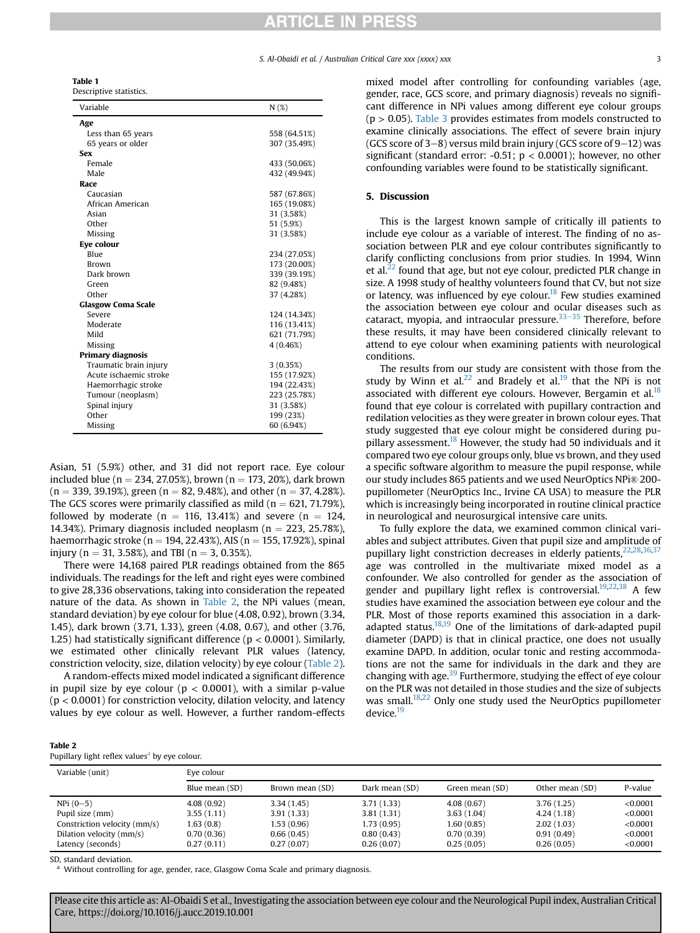S. Al-Obaidi et al. / Australian Critical Care xxx (xxxx) xxx 3 3

<span id="page-2-0"></span>Table 1

Descriptive statistics.

| Variable                  | N(%)         |
|---------------------------|--------------|
| Age                       |              |
| Less than 65 years        | 558 (64.51%) |
| 65 years or older         | 307 (35.49%) |
| <b>Sex</b>                |              |
| Female                    | 433 (50.06%) |
| Male                      | 432 (49.94%) |
| Race                      |              |
| Caucasian                 | 587 (67.86%) |
| African American          | 165 (19.08%) |
| Asian                     | 31 (3.58%)   |
| Other                     | 51 (5.9%)    |
| Missing                   | 31 (3.58%)   |
| Eye colour                |              |
| <b>Blue</b>               | 234 (27.05%) |
| Brown                     | 173 (20.00%) |
| Dark brown                | 339 (39.19%) |
| Green                     | 82 (9.48%)   |
| Other                     | 37 (4.28%)   |
| <b>Glasgow Coma Scale</b> |              |
| Severe                    | 124 (14.34%) |
| Moderate                  | 116 (13.41%) |
| Mild                      | 621 (71.79%) |
| Missing                   | 4(0.46%)     |
| <b>Primary diagnosis</b>  |              |
| Traumatic brain injury    | 3(0.35%)     |
| Acute ischaemic stroke    | 155 (17.92%) |
| Haemorrhagic stroke       | 194 (22.43%) |
| Tumour (neoplasm)         | 223 (25.78%) |
| Spinal injury             | 31 (3.58%)   |
| Other                     | 199 (23%)    |
| Missing                   | 60 (6.94%)   |

Asian, 51 (5.9%) other, and 31 did not report race. Eye colour included blue (n = 234, 27.05%), brown (n = 173, 20%), dark brown  $(n = 339, 39.19\%)$ , green  $(n = 82, 9.48\%)$ , and other  $(n = 37, 4.28\%)$ . The GCS scores were primarily classified as mild ( $n = 621, 71.79\%$ ), followed by moderate ( $n = 116, 13.41\%$ ) and severe ( $n = 124$ , 14.34%). Primary diagnosis included neoplasm ( $n = 223, 25.78\%$ ), haemorrhagic stroke (n = 194, 22.43%), AIS (n = 155, 17.92%), spinal injury (n = 31, 3.58%), and TBI (n = 3, 0.35%).

There were 14,168 paired PLR readings obtained from the 865 individuals. The readings for the left and right eyes were combined to give 28,336 observations, taking into consideration the repeated nature of the data. As shown in Table 2, the NPi values (mean, standard deviation) by eye colour for blue (4.08, 0.92), brown (3.34, 1.45), dark brown (3.71, 1.33), green (4.08, 0.67), and other (3.76, 1.25) had statistically significant difference ( $p < 0.0001$ ). Similarly, we estimated other clinically relevant PLR values (latency, constriction velocity, size, dilation velocity) by eye colour (Table 2).

A random-effects mixed model indicated a significant difference in pupil size by eye colour ( $p < 0.0001$ ), with a similar p-value  $(p < 0.0001)$  for constriction velocity, dilation velocity, and latency values by eye colour as well. However, a further random-effects mixed model after controlling for confounding variables (age, gender, race, GCS score, and primary diagnosis) reveals no significant difference in NPi values among different eye colour groups  $(p > 0.05)$ . [Table 3](#page-3-0) provides estimates from models constructed to examine clinically associations. The effect of severe brain injury (GCS score of  $3-8$ ) versus mild brain injury (GCS score of  $9-12$ ) was significant (standard error: -0.51;  $p < 0.0001$ ); however, no other confounding variables were found to be statistically significant.

### 5. Discussion

This is the largest known sample of critically ill patients to include eye colour as a variable of interest. The finding of no association between PLR and eye colour contributes significantly to clarify conflicting conclusions from prior studies. In 1994, Winn et al. $^{22}$  $^{22}$  $^{22}$  found that age, but not eye colour, predicted PLR change in size. A 1998 study of healthy volunteers found that CV, but not size or latency, was influenced by eye colour.<sup>18</sup> Few studies examined the association between eye colour and ocular diseases such as cataract, myopia, and intraocular pressure. $33-35$  $33-35$  Therefore, before these results, it may have been considered clinically relevant to attend to eye colour when examining patients with neurological conditions.

The results from our study are consistent with those from the study by Winn et al.<sup>[22](#page-4-0)</sup> and Bradely et al.<sup>[19](#page-3-0)</sup> that the NPi is not associated with different eye colours. However, Bergamin et al. $^{18}$ found that eye colour is correlated with pupillary contraction and redilation velocities as they were greater in brown colour eyes. That study suggested that eye colour might be considered during pupillary assessment.[18](#page-3-0) However, the study had 50 individuals and it compared two eye colour groups only, blue vs brown, and they used a specific software algorithm to measure the pupil response, while our study includes 865 patients and we used NeurOptics NPi® 200 pupillometer (NeurOptics Inc., Irvine CA USA) to measure the PLR which is increasingly being incorporated in routine clinical practice in neurological and neurosurgical intensive care units.

To fully explore the data, we examined common clinical variables and subject attributes. Given that pupil size and amplitude of pupillary light constriction decreases in elderly patients,  $22,28,36,37$  $22,28,36,37$  $22,28,36,37$  $22,28,36,37$ age was controlled in the multivariate mixed model as a confounder. We also controlled for gender as the association of gender and pupillary light reflex is controversial.<sup>19,[22](#page-4-0),[38](#page-4-0)</sup> A few studies have examined the association between eye colour and the PLR. Most of those reports examined this association in a darkadapted status.[18](#page-3-0),[19](#page-3-0) One of the limitations of dark-adapted pupil diameter (DAPD) is that in clinical practice, one does not usually examine DAPD. In addition, ocular tonic and resting accommodations are not the same for individuals in the dark and they are changing with age. $39$  Furthermore, studying the effect of eye colour on the PLR was not detailed in those studies and the size of subjects was small.<sup>[18](#page-3-0)[,22](#page-4-0)</sup> Only one study used the NeurOptics pupillometer device.<sup>[19](#page-3-0)</sup>

| н<br>× |  |
|--------|--|
|--------|--|

Pupillary light reflex values<sup>a</sup> by eye colour.

| Variable (unit)              | Eye colour     |                 |                |                 |                 |          |
|------------------------------|----------------|-----------------|----------------|-----------------|-----------------|----------|
|                              | Blue mean (SD) | Brown mean (SD) | Dark mean (SD) | Green mean (SD) | Other mean (SD) | P-value  |
| $NPi (0-5)$                  | 4.08(0.92)     | 3.34(1.45)      | 3.71(1.33)     | 4.08(0.67)      | 3.76(1.25)      | < 0.0001 |
| Pupil size (mm)              | 3.55(1.11)     | 3.91(1.33)      | 3.81(1.31)     | 3.63(1.04)      | 4.24(1.18)      | < 0.0001 |
| Constriction velocity (mm/s) | 1.63(0.8)      | 1.53(0.96)      | 1.73(0.95)     | 1.60(0.85)      | 2.02(1.03)      | < 0.0001 |
| Dilation velocity (mm/s)     | 0.70(0.36)     | 0.66(0.45)      | 0.80(0.43)     | 0.70(0.39)      | 0.91(0.49)      | < 0.0001 |
| Latency (seconds)            | 0.27(0.11)     | 0.27(0.07)      | 0.26(0.07)     | 0.25(0.05)      | 0.26(0.05)      | < 0.0001 |

SD, standard deviation.

Without controlling for age, gender, race, Glasgow Coma Scale and primary diagnosis.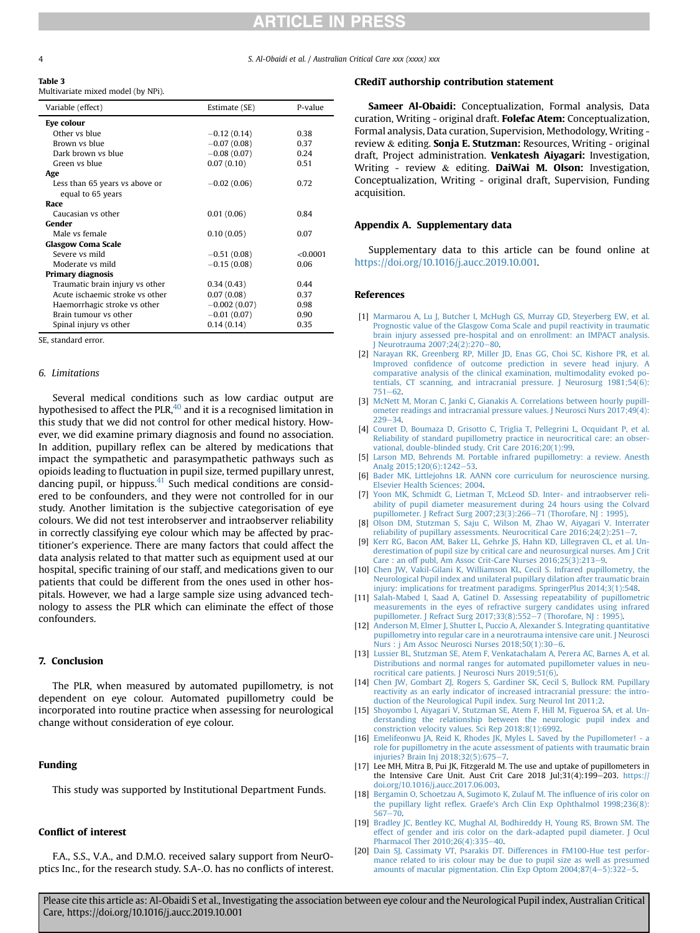<span id="page-3-0"></span>

5. Al-Obaidi et al. / Australian Critical Care xxx (xxxx) xxx

#### Table 3

Multivariate mixed model (by NPi).

| Variable (effect)               | Estimate (SE)  | P-value  |
|---------------------------------|----------------|----------|
| Eye colour                      |                |          |
| Other vs blue                   | $-0.12(0.14)$  | 0.38     |
| Brown vs blue                   | $-0.07(0.08)$  | 0.37     |
| Dark brown ys blue              | $-0.08(0.07)$  | 0.24     |
| Green vs blue                   | 0.07(0.10)     | 0.51     |
| Age                             |                |          |
| Less than 65 years vs above or  | $-0.02(0.06)$  | 0.72     |
| equal to 65 years               |                |          |
| Race                            |                |          |
| Caucasian vs other              | 0.01(0.06)     | 0.84     |
| Gender                          |                |          |
| Male vs female                  | 0.10(0.05)     | 0.07     |
| <b>Glasgow Coma Scale</b>       |                |          |
| Severe ys mild                  | $-0.51(0.08)$  | < 0.0001 |
| Moderate vs mild                | $-0.15(0.08)$  | 0.06     |
| <b>Primary diagnosis</b>        |                |          |
| Traumatic brain injury vs other | 0.34(0.43)     | 0.44     |
| Acute ischaemic stroke vs other | 0.07(0.08)     | 0.37     |
| Haemorrhagic stroke vs other    | $-0.002(0.07)$ | 0.98     |
| Brain tumour vs other           | $-0.01(0.07)$  | 0.90     |
| Spinal injury vs other          | 0.14(0.14)     | 0.35     |

SE, standard error.

### 6. Limitations

Several medical conditions such as low cardiac output are hypothesised to affect the PLR, $40$  and it is a recognised limitation in this study that we did not control for other medical history. However, we did examine primary diagnosis and found no association. In addition, pupillary reflex can be altered by medications that impact the sympathetic and parasympathetic pathways such as opioids leading to fluctuation in pupil size, termed pupillary unrest, dancing pupil, or hippuss.<sup>41</sup> Such medical conditions are considered to be confounders, and they were not controlled for in our study. Another limitation is the subjective categorisation of eye colours. We did not test interobserver and intraobserver reliability in correctly classifying eye colour which may be affected by practitioner's experience. There are many factors that could affect the data analysis related to that matter such as equipment used at our hospital, specific training of our staff, and medications given to our patients that could be different from the ones used in other hospitals. However, we had a large sample size using advanced technology to assess the PLR which can eliminate the effect of those confounders.

### 7. Conclusion

The PLR, when measured by automated pupillometry, is not dependent on eye colour. Automated pupillometry could be incorporated into routine practice when assessing for neurological change without consideration of eye colour.

### Funding

This study was supported by Institutional Department Funds.

### Conflict of interest

F.A., S.S., V.A., and D.M.O. received salary support from NeurOptics Inc., for the research study. S.A-.O. has no conflicts of interest.

#### CRediT authorship contribution statement

Sameer Al-Obaidi: Conceptualization, Formal analysis, Data curation, Writing - original draft. Folefac Atem: Conceptualization, Formal analysis, Data curation, Supervision, Methodology, Writing review & editing. Sonja E. Stutzman: Resources, Writing - original draft, Project administration. Venkatesh Aiyagari: Investigation, Writing - review & editing. DaiWai M. Olson: Investigation, Conceptualization, Writing - original draft, Supervision, Funding acquisition.

### Appendix A. Supplementary data

Supplementary data to this article can be found online at [https://doi.org/10.1016/j.aucc.2019.10.001.](https://doi.org/10.1016/j.aucc.2019.10.001)

### References

- [1] [Marmarou A, Lu J, Butcher I, McHugh GS, Murray GD, Steyerberg EW, et al.](http://refhub.elsevier.com/S1036-7314(19)30125-0/sref1) [Prognostic value of the Glasgow Coma Scale and pupil reactivity in traumatic](http://refhub.elsevier.com/S1036-7314(19)30125-0/sref1) [brain injury assessed pre-hospital and on enrollment: an IMPACT analysis.](http://refhub.elsevier.com/S1036-7314(19)30125-0/sref1) [J Neurotrauma 2007;24\(2\):270](http://refhub.elsevier.com/S1036-7314(19)30125-0/sref1)-[80.](http://refhub.elsevier.com/S1036-7314(19)30125-0/sref1)
- [2] [Narayan RK, Greenberg RP, Miller JD, Enas GG, Choi SC, Kishore PR, et al.](http://refhub.elsevier.com/S1036-7314(19)30125-0/sref2) Improved confi[dence of outcome prediction in severe head injury. A](http://refhub.elsevier.com/S1036-7314(19)30125-0/sref2) [comparative analysis of the clinical examination, multimodality evoked po](http://refhub.elsevier.com/S1036-7314(19)30125-0/sref2)[tentials, CT scanning, and intracranial pressure. J Neurosurg 1981;54\(6\):](http://refhub.elsevier.com/S1036-7314(19)30125-0/sref2)  $751 - 62.$  $751 - 62.$  $751 - 62.$
- [3] [McNett M, Moran C, Janki C, Gianakis A. Correlations between hourly pupill](http://refhub.elsevier.com/S1036-7314(19)30125-0/sref3)[ometer readings and intracranial pressure values. J Neurosci Nurs 2017;49\(4\):](http://refhub.elsevier.com/S1036-7314(19)30125-0/sref3)  $229 - 34.$  $229 - 34.$  $229 - 34.$
- [4] [Couret D, Boumaza D, Grisotto C, Triglia T, Pellegrini L, Ocquidant P, et al.](http://refhub.elsevier.com/S1036-7314(19)30125-0/sref4) [Reliability of standard pupillometry practice in neurocritical care: an obser](http://refhub.elsevier.com/S1036-7314(19)30125-0/sref4)[vational, double-blinded study. Crit Care 2016;20\(1\):99](http://refhub.elsevier.com/S1036-7314(19)30125-0/sref4).
- [5] [Larson MD, Behrends M. Portable infrared pupillometry: a review. Anesth](http://refhub.elsevier.com/S1036-7314(19)30125-0/sref5) [Analg 2015;120\(6\):1242](http://refhub.elsevier.com/S1036-7314(19)30125-0/sref5)-[53.](http://refhub.elsevier.com/S1036-7314(19)30125-0/sref5)
- [6] [Bader MK, Littlejohns LR. AANN core curriculum for neuroscience nursing.](http://refhub.elsevier.com/S1036-7314(19)30125-0/sref6) [Elsevier Health Sciences; 2004.](http://refhub.elsevier.com/S1036-7314(19)30125-0/sref6)
- [7] [Yoon MK, Schmidt G, Lietman T, McLeod SD. Inter- and intraobserver reli](http://refhub.elsevier.com/S1036-7314(19)30125-0/sref7)[ability of pupil diameter measurement during 24 hours using the Colvard](http://refhub.elsevier.com/S1036-7314(19)30125-0/sref7) [pupillometer. J Refract Surg 2007;23\(3\):266](http://refhub.elsevier.com/S1036-7314(19)30125-0/sref7)-71 (Thorofare, NJ: 1995).
- [8] [Olson DM, Stutzman S, Saju C, Wilson M, Zhao W, Aiyagari V. Interrater](http://refhub.elsevier.com/S1036-7314(19)30125-0/sref8) reliability of pupillary assessments. Neurocritical Care  $2016;24(2):251-7$ .
- [9] [Kerr RG, Bacon AM, Baker LL, Gehrke JS, Hahn KD, Lillegraven CL, et al. Un](http://refhub.elsevier.com/S1036-7314(19)30125-0/sref9)[derestimation of pupil size by critical care and neurosurgical nurses. Am J Crit](http://refhub.elsevier.com/S1036-7314(19)30125-0/sref9) Care : an off publ. Am Assoc Crit-Care Nurses  $2016:25(3):213-9$  $2016:25(3):213-9$ .
- [10] [Chen JW, Vakil-Gilani K, Williamson KL, Cecil S. Infrared pupillometry, the](http://refhub.elsevier.com/S1036-7314(19)30125-0/sref10) [Neurological Pupil index and unilateral pupillary dilation after traumatic brain](http://refhub.elsevier.com/S1036-7314(19)30125-0/sref10) [injury: implications for treatment paradigms. SpringerPlus 2014;3\(1\):548](http://refhub.elsevier.com/S1036-7314(19)30125-0/sref10).
- [11] [Salah-Mabed I, Saad A, Gatinel D. Assessing repeatability of pupillometric](http://refhub.elsevier.com/S1036-7314(19)30125-0/sref11) [measurements in the eyes of refractive surgery candidates using infrared](http://refhub.elsevier.com/S1036-7314(19)30125-0/sref11) [pupillometer. J Refract Surg 2017;33\(8\):552](http://refhub.elsevier.com/S1036-7314(19)30125-0/sref11)-7 (Thorofare, NJ: 1995).
- [12] [Anderson M, Elmer J, Shutter L, Puccio A, Alexander S. Integrating quantitative](http://refhub.elsevier.com/S1036-7314(19)30125-0/sref12) [pupillometry into regular care in a neurotrauma intensive care unit. J Neurosci](http://refhub.elsevier.com/S1036-7314(19)30125-0/sref12) [Nurs : j Am Assoc Neurosci Nurses 2018;50\(1\):30](http://refhub.elsevier.com/S1036-7314(19)30125-0/sref12)-[6](http://refhub.elsevier.com/S1036-7314(19)30125-0/sref12).
- [13] [Lussier BL, Stutzman SE, Atem F, Venkatachalam A, Perera AC, Barnes A, et al.](http://refhub.elsevier.com/S1036-7314(19)30125-0/sref13) [Distributions and normal ranges for automated pupillometer values in neu-](http://refhub.elsevier.com/S1036-7314(19)30125-0/sref13)
- [rocritical care patients. J Neurosci Nurs 2019;51\(6\)](http://refhub.elsevier.com/S1036-7314(19)30125-0/sref13). [14] [Chen JW, Gombart ZJ, Rogers S, Gardiner SK, Cecil S, Bullock RM. Pupillary](http://refhub.elsevier.com/S1036-7314(19)30125-0/sref14) [reactivity as an early indicator of increased intracranial pressure: the intro](http://refhub.elsevier.com/S1036-7314(19)30125-0/sref14)[duction of the Neurological Pupil index. Surg Neurol Int 2011;2.](http://refhub.elsevier.com/S1036-7314(19)30125-0/sref14)
- [15] [Shoyombo I, Aiyagari V, Stutzman SE, Atem F, Hill M, Figueroa SA, et al. Un](http://refhub.elsevier.com/S1036-7314(19)30125-0/sref15)[derstanding the relationship between the neurologic pupil index and](http://refhub.elsevier.com/S1036-7314(19)30125-0/sref15)
- [constriction velocity values. Sci Rep 2018;8\(1\):6992.](http://refhub.elsevier.com/S1036-7314(19)30125-0/sref15) [16] [Emelifeonwu JA, Reid K, Rhodes JK, Myles L. Saved by the Pupillometer! a](http://refhub.elsevier.com/S1036-7314(19)30125-0/sref16) [role for pupillometry in the acute assessment of patients with traumatic brain](http://refhub.elsevier.com/S1036-7314(19)30125-0/sref16) [injuries? Brain Inj 2018;32\(5\):675](http://refhub.elsevier.com/S1036-7314(19)30125-0/sref16)-[7](http://refhub.elsevier.com/S1036-7314(19)30125-0/sref16)
- [17] Lee MH, Mitra B, Pui JK, Fitzgerald M. The use and uptake of pupillometers in the Intensive Care Unit. Aust Crit Care 2018 Jul;31(4):199-203. [https://](https://doi.org/10.1016/j.aucc.2017.06.003) [doi.org/10.1016/j.aucc.2017.06.003.](https://doi.org/10.1016/j.aucc.2017.06.003)
- [18] [Bergamin O, Schoetzau A, Sugimoto K, Zulauf M. The in](http://refhub.elsevier.com/S1036-7314(19)30125-0/sref18)fluence of iris color on the pupillary light reflex. Graefe'[s Arch Clin Exp Ophthalmol 1998;236\(8\):](http://refhub.elsevier.com/S1036-7314(19)30125-0/sref18)<br>[567](http://refhub.elsevier.com/S1036-7314(19)30125-0/sref18)–[70](http://refhub.elsevier.com/S1036-7314(19)30125-0/sref18).
- [19] [Bradley JC, Bentley KC, Mughal AI, Bodhireddy H, Young RS, Brown SM. The](http://refhub.elsevier.com/S1036-7314(19)30125-0/sref19) [effect of gender and iris color on the dark-adapted pupil diameter. J Ocul](http://refhub.elsevier.com/S1036-7314(19)30125-0/sref19) [Pharmacol Ther 2010;26\(4\):335](http://refhub.elsevier.com/S1036-7314(19)30125-0/sref19)-[40](http://refhub.elsevier.com/S1036-7314(19)30125-0/sref19).
- [20] [Dain SJ, Cassimaty VT, Psarakis DT. Differences in FM100-Hue test perfor](http://refhub.elsevier.com/S1036-7314(19)30125-0/sref20)[mance related to iris colour may be due to pupil size as well as presumed](http://refhub.elsevier.com/S1036-7314(19)30125-0/sref20) amounts of macular pigmentation. Clin Exp Optom  $2004;87(4-5):322-5$  $2004;87(4-5):322-5$  $2004;87(4-5):322-5$ .